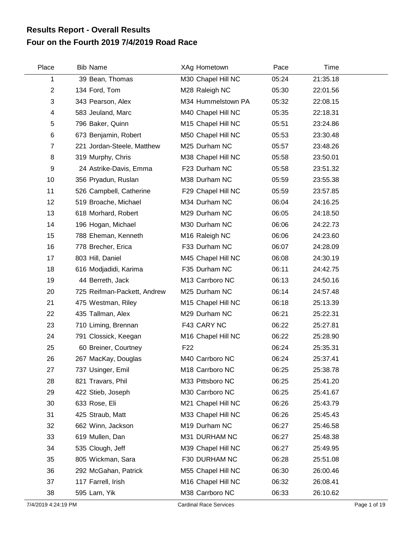## **Four on the Fourth 2019 7/4/2019 Road Race Results Report - Overall Results**

| Place          | <b>Bib Name</b>             | XAg Hometown       | Pace  | Time     |  |
|----------------|-----------------------------|--------------------|-------|----------|--|
| 1              | 39 Bean, Thomas             | M30 Chapel Hill NC | 05:24 | 21:35.18 |  |
| $\overline{2}$ | 134 Ford, Tom               | M28 Raleigh NC     | 05:30 | 22:01.56 |  |
| 3              | 343 Pearson, Alex           | M34 Hummelstown PA | 05:32 | 22:08.15 |  |
| 4              | 583 Jeuland, Marc           | M40 Chapel Hill NC | 05:35 | 22:18.31 |  |
| 5              | 796 Baker, Quinn            | M15 Chapel Hill NC | 05:51 | 23:24.86 |  |
| 6              | 673 Benjamin, Robert        | M50 Chapel Hill NC | 05:53 | 23:30.48 |  |
| $\overline{7}$ | 221 Jordan-Steele, Matthew  | M25 Durham NC      | 05:57 | 23:48.26 |  |
| 8              | 319 Murphy, Chris           | M38 Chapel Hill NC | 05:58 | 23:50.01 |  |
| 9              | 24 Astrike-Davis, Emma      | F23 Durham NC      | 05:58 | 23:51.32 |  |
| 10             | 356 Pryadun, Ruslan         | M38 Durham NC      | 05:59 | 23:55.38 |  |
| 11             | 526 Campbell, Catherine     | F29 Chapel Hill NC | 05:59 | 23:57.85 |  |
| 12             | 519 Broache, Michael        | M34 Durham NC      | 06:04 | 24:16.25 |  |
| 13             | 618 Morhard, Robert         | M29 Durham NC      | 06:05 | 24:18.50 |  |
| 14             | 196 Hogan, Michael          | M30 Durham NC      | 06:06 | 24:22.73 |  |
| 15             | 788 Eheman, Kenneth         | M16 Raleigh NC     | 06:06 | 24:23.60 |  |
| 16             | 778 Brecher, Erica          | F33 Durham NC      | 06:07 | 24:28.09 |  |
| 17             | 803 Hill, Daniel            | M45 Chapel Hill NC | 06:08 | 24:30.19 |  |
| 18             | 616 Modjadidi, Karima       | F35 Durham NC      | 06:11 | 24:42.75 |  |
| 19             | 44 Berreth, Jack            | M13 Carrboro NC    | 06:13 | 24:50.16 |  |
| 20             | 725 Reifman-Packett, Andrew | M25 Durham NC      | 06:14 | 24:57.48 |  |
| 21             | 475 Westman, Riley          | M15 Chapel Hill NC | 06:18 | 25:13.39 |  |
| 22             | 435 Tallman, Alex           | M29 Durham NC      | 06:21 | 25:22.31 |  |
| 23             | 710 Liming, Brennan         | F43 CARY NC        | 06:22 | 25:27.81 |  |
| 24             | 791 Clossick, Keegan        | M16 Chapel Hill NC | 06:22 | 25:28.90 |  |
| 25             | 60 Breiner, Courtney        | F <sub>22</sub>    | 06:24 | 25:35.31 |  |
| 26             | 267 MacKay, Douglas         | M40 Carrboro NC    | 06:24 | 25:37.41 |  |
| 27             | 737 Usinger, Emil           | M18 Carrboro NC    | 06:25 | 25:38.78 |  |
| 28             | 821 Travars, Phil           | M33 Pittsboro NC   | 06:25 | 25:41.20 |  |
| 29             | 422 Stieb, Joseph           | M30 Carrboro NC    | 06:25 | 25:41.67 |  |
| 30             | 633 Rose, Eli               | M21 Chapel Hill NC | 06:26 | 25:43.79 |  |
| 31             | 425 Straub, Matt            | M33 Chapel Hill NC | 06:26 | 25:45.43 |  |
| 32             | 662 Winn, Jackson           | M19 Durham NC      | 06:27 | 25:46.58 |  |
| 33             | 619 Mullen, Dan             | M31 DURHAM NC      | 06:27 | 25:48.38 |  |
| 34             | 535 Clough, Jeff            | M39 Chapel Hill NC | 06:27 | 25:49.95 |  |
| 35             | 805 Wickman, Sara           | F30 DURHAM NC      | 06:28 | 25:51.08 |  |
| 36             | 292 McGahan, Patrick        | M55 Chapel Hill NC | 06:30 | 26:00.46 |  |
| 37             | 117 Farrell, Irish          | M16 Chapel Hill NC | 06:32 | 26:08.41 |  |
| 38             | 595 Lam, Yik                | M38 Carrboro NC    | 06:33 | 26:10.62 |  |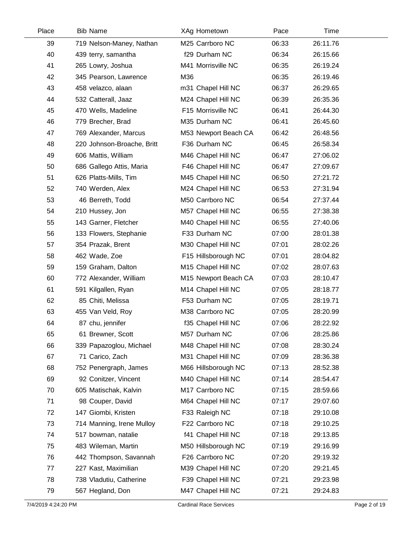| Place | <b>Bib Name</b>            | XAg Hometown                   | Pace  | Time     |  |
|-------|----------------------------|--------------------------------|-------|----------|--|
| 39    | 719 Nelson-Maney, Nathan   | M25 Carrboro NC                | 06:33 | 26:11.76 |  |
| 40    | 439 terry, samantha        | f29 Durham NC                  | 06:34 | 26:15.66 |  |
| 41    | 265 Lowry, Joshua          | M41 Morrisville NC             | 06:35 | 26:19.24 |  |
| 42    | 345 Pearson, Lawrence      | M36                            | 06:35 | 26:19.46 |  |
| 43    | 458 velazco, alaan         | m31 Chapel Hill NC             | 06:37 | 26:29.65 |  |
| 44    | 532 Catterall, Jaaz        | M24 Chapel Hill NC             | 06:39 | 26:35.36 |  |
| 45    | 470 Wells, Madeline        | F15 Morrisville NC             | 06:41 | 26:44.30 |  |
| 46    | 779 Brecher, Brad          | M35 Durham NC                  | 06:41 | 26:45.60 |  |
| 47    | 769 Alexander, Marcus      | M53 Newport Beach CA           | 06:42 | 26:48.56 |  |
| 48    | 220 Johnson-Broache, Britt | F36 Durham NC                  | 06:45 | 26:58.34 |  |
| 49    | 606 Mattis, William        | M46 Chapel Hill NC             | 06:47 | 27:06.02 |  |
| 50    | 686 Gallego Attis, Maria   | F46 Chapel Hill NC             | 06:47 | 27:09.67 |  |
| 51    | 626 Platts-Mills, Tim      | M45 Chapel Hill NC             | 06:50 | 27:21.72 |  |
| 52    | 740 Werden, Alex           | M24 Chapel Hill NC             | 06:53 | 27:31.94 |  |
| 53    | 46 Berreth, Todd           | M50 Carrboro NC                | 06:54 | 27:37.44 |  |
| 54    | 210 Hussey, Jon            | M57 Chapel Hill NC             | 06:55 | 27:38.38 |  |
| 55    | 143 Garner, Fletcher       | M40 Chapel Hill NC             | 06:55 | 27:40.06 |  |
| 56    | 133 Flowers, Stephanie     | F33 Durham NC                  | 07:00 | 28:01.38 |  |
| 57    | 354 Prazak, Brent          | M30 Chapel Hill NC             | 07:01 | 28:02.26 |  |
| 58    | 462 Wade, Zoe              | F15 Hillsborough NC            | 07:01 | 28:04.82 |  |
| 59    | 159 Graham, Dalton         | M <sub>15</sub> Chapel Hill NC | 07:02 | 28:07.63 |  |
| 60    | 772 Alexander, William     | M15 Newport Beach CA           | 07:03 | 28:10.47 |  |
| 61    | 591 Kilgallen, Ryan        | M14 Chapel Hill NC             | 07:05 | 28:18.77 |  |
| 62    | 85 Chiti, Melissa          | F53 Durham NC                  | 07:05 | 28:19.71 |  |
| 63    | 455 Van Veld, Roy          | M38 Carrboro NC                | 07:05 | 28:20.99 |  |
| 64    | 87 chu, jennifer           | f35 Chapel Hill NC             | 07:06 | 28:22.92 |  |
| 65    | 61 Brewner, Scott          | M57 Durham NC                  | 07:06 | 28:25.86 |  |
| 66    | 339 Papazoglou, Michael    | M48 Chapel Hill NC             | 07:08 | 28:30.24 |  |
| 67    | 71 Carico, Zach            | M31 Chapel Hill NC             | 07:09 | 28:36.38 |  |
| 68    | 752 Penergraph, James      | M66 Hillsborough NC            | 07:13 | 28:52.38 |  |
| 69    | 92 Conitzer, Vincent       | M40 Chapel Hill NC             | 07:14 | 28:54.47 |  |
| 70    | 605 Matischak, Kalvin      | M17 Carrboro NC                | 07:15 | 28:59.66 |  |
| 71    | 98 Couper, David           | M64 Chapel Hill NC             | 07:17 | 29:07.60 |  |
| 72    | 147 Giombi, Kristen        | F33 Raleigh NC                 | 07:18 | 29:10.08 |  |
| 73    | 714 Manning, Irene Mulloy  | F22 Carrboro NC                | 07:18 | 29:10.25 |  |
| 74    | 517 bowman, natalie        | f41 Chapel Hill NC             | 07:18 | 29:13.85 |  |
| 75    | 483 Wileman, Martin        | M50 Hillsborough NC            | 07:19 | 29:16.99 |  |
| 76    | 442 Thompson, Savannah     | F26 Carrboro NC                | 07:20 | 29:19.32 |  |
| 77    | 227 Kast, Maximilian       | M39 Chapel Hill NC             | 07:20 | 29:21.45 |  |
| 78    | 738 Vladutiu, Catherine    | F39 Chapel Hill NC             | 07:21 | 29:23.98 |  |
| 79    | 567 Hegland, Don           | M47 Chapel Hill NC             | 07:21 | 29:24.83 |  |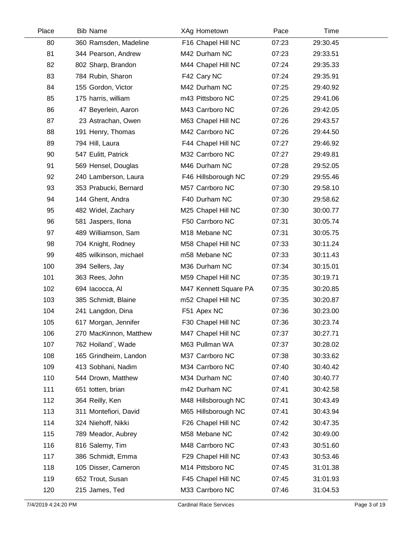| Place | <b>Bib Name</b>        | XAg Hometown          | Pace  | Time     |  |
|-------|------------------------|-----------------------|-------|----------|--|
| 80    | 360 Ramsden, Madeline  | F16 Chapel Hill NC    | 07:23 | 29:30.45 |  |
| 81    | 344 Pearson, Andrew    | M42 Durham NC         | 07:23 | 29:33.51 |  |
| 82    | 802 Sharp, Brandon     | M44 Chapel Hill NC    | 07:24 | 29:35.33 |  |
| 83    | 784 Rubin, Sharon      | F42 Cary NC           | 07:24 | 29:35.91 |  |
| 84    | 155 Gordon, Victor     | M42 Durham NC         | 07:25 | 29:40.92 |  |
| 85    | 175 harris, william    | m43 Pittsboro NC      | 07:25 | 29:41.06 |  |
| 86    | 47 Beyerlein, Aaron    | M43 Carrboro NC       | 07:26 | 29:42.05 |  |
| 87    | 23 Astrachan, Owen     | M63 Chapel Hill NC    | 07:26 | 29:43.57 |  |
| 88    | 191 Henry, Thomas      | M42 Carrboro NC       | 07:26 | 29:44.50 |  |
| 89    | 794 Hill, Laura        | F44 Chapel Hill NC    | 07:27 | 29:46.92 |  |
| 90    | 547 Eulitt, Patrick    | M32 Carrboro NC       | 07:27 | 29:49.81 |  |
| 91    | 569 Hensel, Douglas    | M46 Durham NC         | 07:28 | 29:52.05 |  |
| 92    | 240 Lamberson, Laura   | F46 Hillsborough NC   | 07:29 | 29:55.46 |  |
| 93    | 353 Prabucki, Bernard  | M57 Carrboro NC       | 07:30 | 29:58.10 |  |
| 94    | 144 Ghent, Andra       | F40 Durham NC         | 07:30 | 29:58.62 |  |
| 95    | 482 Widel, Zachary     | M25 Chapel Hill NC    | 07:30 | 30:00.77 |  |
| 96    | 581 Jaspers, Ilona     | F50 Carrboro NC       | 07:31 | 30:05.74 |  |
| 97    | 489 Williamson, Sam    | M18 Mebane NC         | 07:31 | 30:05.75 |  |
| 98    | 704 Knight, Rodney     | M58 Chapel Hill NC    | 07:33 | 30:11.24 |  |
| 99    | 485 wilkinson, michael | m58 Mebane NC         | 07:33 | 30:11.43 |  |
| 100   | 394 Sellers, Jay       | M36 Durham NC         | 07:34 | 30:15.01 |  |
| 101   | 363 Rees, John         | M59 Chapel Hill NC    | 07:35 | 30:19.71 |  |
| 102   | 694 Iacocca, Al        | M47 Kennett Square PA | 07:35 | 30:20.85 |  |
| 103   | 385 Schmidt, Blaine    | m52 Chapel Hill NC    | 07:35 | 30:20.87 |  |
| 104   | 241 Langdon, Dina      | F51 Apex NC           | 07:36 | 30:23.00 |  |
| 105   | 617 Morgan, Jennifer   | F30 Chapel Hill NC    | 07:36 | 30:23.74 |  |
| 106   | 270 MacKinnon, Matthew | M47 Chapel Hill NC    | 07:37 | 30:27.71 |  |
| 107   | 762 Hoiland`, Wade     | M63 Pullman WA        | 07:37 | 30:28.02 |  |
| 108   | 165 Grindheim, Landon  | M37 Carrboro NC       | 07:38 | 30:33.62 |  |
| 109   | 413 Sobhani, Nadim     | M34 Carrboro NC       | 07:40 | 30:40.42 |  |
| 110   | 544 Drown, Matthew     | M34 Durham NC         | 07:40 | 30:40.77 |  |
| 111   | 651 totten, brian      | m42 Durham NC         | 07:41 | 30:42.58 |  |
| 112   | 364 Reilly, Ken        | M48 Hillsborough NC   | 07:41 | 30:43.49 |  |
| 113   | 311 Montefiori, David  | M65 Hillsborough NC   | 07:41 | 30:43.94 |  |
| 114   | 324 Niehoff, Nikki     | F26 Chapel Hill NC    | 07:42 | 30:47.35 |  |
| 115   | 789 Meador, Aubrey     | M58 Mebane NC         | 07:42 | 30:49.00 |  |
| 116   | 816 Salemy, Tim        | M48 Carrboro NC       | 07:43 | 30:51.60 |  |
| 117   | 386 Schmidt, Emma      | F29 Chapel Hill NC    | 07:43 | 30:53.46 |  |
| 118   | 105 Disser, Cameron    | M14 Pittsboro NC      | 07:45 | 31:01.38 |  |
| 119   | 652 Trout, Susan       | F45 Chapel Hill NC    | 07:45 | 31:01.93 |  |
| 120   | 215 James, Ted         | M33 Carrboro NC       | 07:46 | 31:04.53 |  |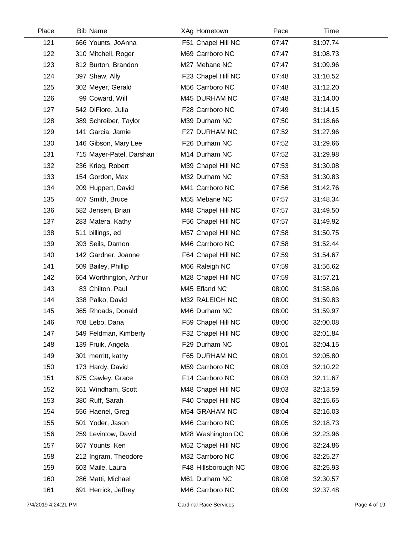| Place | <b>Bib Name</b>          | XAg Hometown        | Pace  | Time     |  |
|-------|--------------------------|---------------------|-------|----------|--|
| 121   | 666 Younts, JoAnna       | F51 Chapel Hill NC  | 07:47 | 31:07.74 |  |
| 122   | 310 Mitchell, Roger      | M69 Carrboro NC     | 07:47 | 31:08.73 |  |
| 123   | 812 Burton, Brandon      | M27 Mebane NC       | 07:47 | 31:09.96 |  |
| 124   | 397 Shaw, Ally           | F23 Chapel Hill NC  | 07:48 | 31:10.52 |  |
| 125   | 302 Meyer, Gerald        | M56 Carrboro NC     | 07:48 | 31:12.20 |  |
| 126   | 99 Coward, Will          | M45 DURHAM NC       | 07:48 | 31:14.00 |  |
| 127   | 542 DiFiore, Julia       | F28 Carrboro NC     | 07:49 | 31:14.15 |  |
| 128   | 389 Schreiber, Taylor    | M39 Durham NC       | 07:50 | 31:18.66 |  |
| 129   | 141 Garcia, Jamie        | F27 DURHAM NC       | 07:52 | 31:27.96 |  |
| 130   | 146 Gibson, Mary Lee     | F26 Durham NC       | 07:52 | 31:29.66 |  |
| 131   | 715 Mayer-Patel, Darshan | M14 Durham NC       | 07:52 | 31:29.98 |  |
| 132   | 236 Krieg, Robert        | M39 Chapel Hill NC  | 07:53 | 31:30.08 |  |
| 133   | 154 Gordon, Max          | M32 Durham NC       | 07:53 | 31:30.83 |  |
| 134   | 209 Huppert, David       | M41 Carrboro NC     | 07:56 | 31:42.76 |  |
| 135   | 407 Smith, Bruce         | M55 Mebane NC       | 07:57 | 31:48.34 |  |
| 136   | 582 Jensen, Brian        | M48 Chapel Hill NC  | 07:57 | 31:49.50 |  |
| 137   | 283 Matera, Kathy        | F56 Chapel Hill NC  | 07:57 | 31:49.92 |  |
| 138   | 511 billings, ed         | M57 Chapel Hill NC  | 07:58 | 31:50.75 |  |
| 139   | 393 Seils, Damon         | M46 Carrboro NC     | 07:58 | 31:52.44 |  |
| 140   | 142 Gardner, Joanne      | F64 Chapel Hill NC  | 07:59 | 31:54.67 |  |
| 141   | 509 Bailey, Phillip      | M66 Raleigh NC      | 07:59 | 31:56.62 |  |
| 142   | 664 Worthington, Arthur  | M28 Chapel Hill NC  | 07:59 | 31:57.21 |  |
| 143   | 83 Chilton, Paul         | M45 Efland NC       | 08:00 | 31:58.06 |  |
| 144   | 338 Palko, David         | M32 RALEIGH NC      | 08:00 | 31:59.83 |  |
| 145   | 365 Rhoads, Donald       | M46 Durham NC       | 08:00 | 31:59.97 |  |
| 146   | 708 Lebo, Dana           | F59 Chapel Hill NC  | 08:00 | 32:00.08 |  |
| 147   | 549 Feldman, Kimberly    | F32 Chapel Hill NC  | 08:00 | 32:01.84 |  |
| 148   | 139 Fruik, Angela        | F29 Durham NC       | 08:01 | 32:04.15 |  |
| 149   | 301 merritt, kathy       | F65 DURHAM NC       | 08:01 | 32:05.80 |  |
| 150   | 173 Hardy, David         | M59 Carrboro NC     | 08:03 | 32:10.22 |  |
| 151   | 675 Cawley, Grace        | F14 Carrboro NC     | 08:03 | 32:11.67 |  |
| 152   | 661 Windham, Scott       | M48 Chapel Hill NC  | 08:03 | 32:13.59 |  |
| 153   | 380 Ruff, Sarah          | F40 Chapel Hill NC  | 08:04 | 32:15.65 |  |
| 154   | 556 Haenel, Greg         | M54 GRAHAM NC       | 08:04 | 32:16.03 |  |
| 155   | 501 Yoder, Jason         | M46 Carrboro NC     | 08:05 | 32:18.73 |  |
| 156   | 259 Levintow, David      | M28 Washington DC   | 08:06 | 32:23.96 |  |
| 157   | 667 Younts, Ken          | M52 Chapel Hill NC  | 08:06 | 32:24.86 |  |
| 158   | 212 Ingram, Theodore     | M32 Carrboro NC     | 08:06 | 32:25.27 |  |
| 159   | 603 Maile, Laura         | F48 Hillsborough NC | 08:06 | 32:25.93 |  |
| 160   | 286 Matti, Michael       | M61 Durham NC       | 08:08 | 32:30.57 |  |
| 161   | 691 Herrick, Jeffrey     | M46 Carrboro NC     | 08:09 | 32:37.48 |  |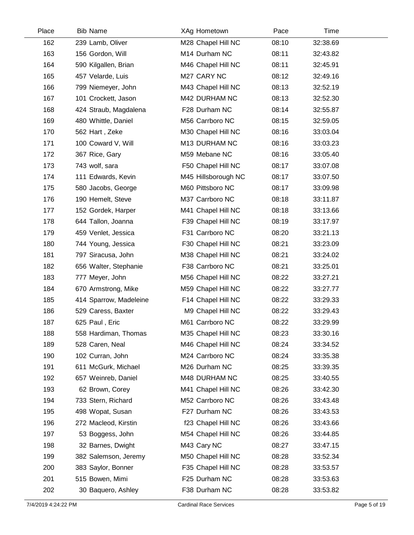| Place | <b>Bib Name</b>        | <b>XAg Hometown</b> | Pace  | Time     |  |
|-------|------------------------|---------------------|-------|----------|--|
| 162   | 239 Lamb, Oliver       | M28 Chapel Hill NC  | 08:10 | 32:38.69 |  |
| 163   | 156 Gordon, Will       | M14 Durham NC       | 08:11 | 32:43.82 |  |
| 164   | 590 Kilgallen, Brian   | M46 Chapel Hill NC  | 08:11 | 32:45.91 |  |
| 165   | 457 Velarde, Luis      | M27 CARY NC         | 08:12 | 32:49.16 |  |
| 166   | 799 Niemeyer, John     | M43 Chapel Hill NC  | 08:13 | 32:52.19 |  |
| 167   | 101 Crockett, Jason    | M42 DURHAM NC       | 08:13 | 32:52.30 |  |
| 168   | 424 Straub, Magdalena  | F28 Durham NC       | 08:14 | 32:55.87 |  |
| 169   | 480 Whittle, Daniel    | M56 Carrboro NC     | 08:15 | 32:59.05 |  |
| 170   | 562 Hart, Zeke         | M30 Chapel Hill NC  | 08:16 | 33:03.04 |  |
| 171   | 100 Coward V, Will     | M13 DURHAM NC       | 08:16 | 33:03.23 |  |
| 172   | 367 Rice, Gary         | M59 Mebane NC       | 08:16 | 33:05.40 |  |
| 173   | 743 wolf, sara         | F50 Chapel Hill NC  | 08:17 | 33:07.08 |  |
| 174   | 111 Edwards, Kevin     | M45 Hillsborough NC | 08:17 | 33:07.50 |  |
| 175   | 580 Jacobs, George     | M60 Pittsboro NC    | 08:17 | 33:09.98 |  |
| 176   | 190 Hemelt, Steve      | M37 Carrboro NC     | 08:18 | 33:11.87 |  |
| 177   | 152 Gordek, Harper     | M41 Chapel Hill NC  | 08:18 | 33:13.66 |  |
| 178   | 644 Tallon, Joanna     | F39 Chapel Hill NC  | 08:19 | 33:17.97 |  |
| 179   | 459 Venlet, Jessica    | F31 Carrboro NC     | 08:20 | 33:21.13 |  |
| 180   | 744 Young, Jessica     | F30 Chapel Hill NC  | 08:21 | 33:23.09 |  |
| 181   | 797 Siracusa, John     | M38 Chapel Hill NC  | 08:21 | 33:24.02 |  |
| 182   | 656 Walter, Stephanie  | F38 Carrboro NC     | 08:21 | 33:25.01 |  |
| 183   | 777 Meyer, John        | M56 Chapel Hill NC  | 08:22 | 33:27.21 |  |
| 184   | 670 Armstrong, Mike    | M59 Chapel Hill NC  | 08:22 | 33:27.77 |  |
| 185   | 414 Sparrow, Madeleine | F14 Chapel Hill NC  | 08:22 | 33:29.33 |  |
| 186   | 529 Caress, Baxter     | M9 Chapel Hill NC   | 08:22 | 33:29.43 |  |
| 187   | 625 Paul, Eric         | M61 Carrboro NC     | 08:22 | 33:29.99 |  |
| 188   | 558 Hardiman, Thomas   | M35 Chapel Hill NC  | 08:23 | 33:30.16 |  |
| 189   | 528 Caren, Neal        | M46 Chapel Hill NC  | 08:24 | 33:34.52 |  |
| 190   | 102 Curran, John       | M24 Carrboro NC     | 08:24 | 33:35.38 |  |
| 191   | 611 McGurk, Michael    | M26 Durham NC       | 08:25 | 33:39.35 |  |
| 192   | 657 Weinreb, Daniel    | M48 DURHAM NC       | 08:25 | 33:40.55 |  |
| 193   | 62 Brown, Corey        | M41 Chapel Hill NC  | 08:26 | 33:42.30 |  |
| 194   | 733 Stern, Richard     | M52 Carrboro NC     | 08:26 | 33:43.48 |  |
| 195   | 498 Wopat, Susan       | F27 Durham NC       | 08:26 | 33:43.53 |  |
| 196   | 272 Macleod, Kirstin   | f23 Chapel Hill NC  | 08:26 | 33:43.66 |  |
| 197   | 53 Boggess, John       | M54 Chapel Hill NC  | 08:26 | 33:44.85 |  |
| 198   | 32 Barnes, Dwight      | M43 Cary NC         | 08:27 | 33:47.15 |  |
| 199   | 382 Salemson, Jeremy   | M50 Chapel Hill NC  | 08:28 | 33:52.34 |  |
| 200   | 383 Saylor, Bonner     | F35 Chapel Hill NC  | 08:28 | 33:53.57 |  |
| 201   | 515 Bowen, Mimi        | F25 Durham NC       | 08:28 | 33:53.63 |  |
| 202   | 30 Baquero, Ashley     | F38 Durham NC       | 08:28 | 33:53.82 |  |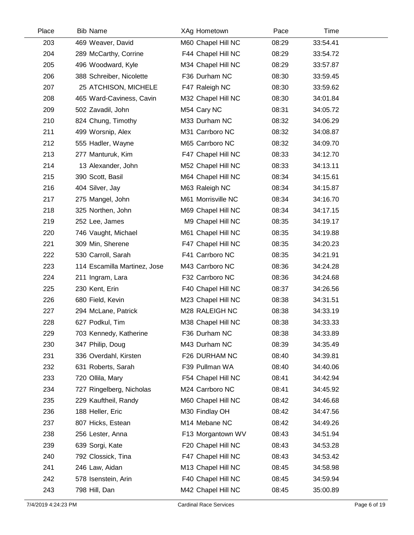| Place | <b>Bib Name</b>              | XAg Hometown       | Pace  | Time     |  |
|-------|------------------------------|--------------------|-------|----------|--|
| 203   | 469 Weaver, David            | M60 Chapel Hill NC | 08:29 | 33:54.41 |  |
| 204   | 289 McCarthy, Corrine        | F44 Chapel Hill NC | 08:29 | 33:54.72 |  |
| 205   | 496 Woodward, Kyle           | M34 Chapel Hill NC | 08:29 | 33:57.87 |  |
| 206   | 388 Schreiber, Nicolette     | F36 Durham NC      | 08:30 | 33:59.45 |  |
| 207   | 25 ATCHISON, MICHELE         | F47 Raleigh NC     | 08:30 | 33:59.62 |  |
| 208   | 465 Ward-Caviness, Cavin     | M32 Chapel Hill NC | 08:30 | 34:01.84 |  |
| 209   | 502 Zavadil, John            | M54 Cary NC        | 08:31 | 34:05.72 |  |
| 210   | 824 Chung, Timothy           | M33 Durham NC      | 08:32 | 34:06.29 |  |
| 211   | 499 Worsnip, Alex            | M31 Carrboro NC    | 08:32 | 34:08.87 |  |
| 212   | 555 Hadler, Wayne            | M65 Carrboro NC    | 08:32 | 34:09.70 |  |
| 213   | 277 Manturuk, Kim            | F47 Chapel Hill NC | 08:33 | 34:12.70 |  |
| 214   | 13 Alexander, John           | M52 Chapel Hill NC | 08:33 | 34:13.11 |  |
| 215   | 390 Scott, Basil             | M64 Chapel Hill NC | 08:34 | 34:15.61 |  |
| 216   | 404 Silver, Jay              | M63 Raleigh NC     | 08:34 | 34:15.87 |  |
| 217   | 275 Mangel, John             | M61 Morrisville NC | 08:34 | 34:16.70 |  |
| 218   | 325 Northen, John            | M69 Chapel Hill NC | 08:34 | 34:17.15 |  |
| 219   | 252 Lee, James               | M9 Chapel Hill NC  | 08:35 | 34:19.17 |  |
| 220   | 746 Vaught, Michael          | M61 Chapel Hill NC | 08:35 | 34:19.88 |  |
| 221   | 309 Min, Sherene             | F47 Chapel Hill NC | 08:35 | 34:20.23 |  |
| 222   | 530 Carroll, Sarah           | F41 Carrboro NC    | 08:35 | 34:21.91 |  |
| 223   | 114 Escamilla Martinez, Jose | M43 Carrboro NC    | 08:36 | 34:24.28 |  |
| 224   | 211 Ingram, Lara             | F32 Carrboro NC    | 08:36 | 34:24.68 |  |
| 225   | 230 Kent, Erin               | F40 Chapel Hill NC | 08:37 | 34:26.56 |  |
| 226   | 680 Field, Kevin             | M23 Chapel Hill NC | 08:38 | 34:31.51 |  |
| 227   | 294 McLane, Patrick          | M28 RALEIGH NC     | 08:38 | 34:33.19 |  |
| 228   | 627 Podkul, Tim              | M38 Chapel Hill NC | 08:38 | 34:33.33 |  |
| 229   | 703 Kennedy, Katherine       | F36 Durham NC      | 08:38 | 34:33.89 |  |
| 230   | 347 Philip, Doug             | M43 Durham NC      | 08:39 | 34:35.49 |  |
| 231   | 336 Overdahl, Kirsten        | F26 DURHAM NC      | 08:40 | 34:39.81 |  |
| 232   | 631 Roberts, Sarah           | F39 Pullman WA     | 08:40 | 34:40.06 |  |
| 233   | 720 Ollila, Mary             | F54 Chapel Hill NC | 08:41 | 34:42.94 |  |
| 234   | 727 Ringelberg, Nicholas     | M24 Carrboro NC    | 08:41 | 34:45.92 |  |
| 235   | 229 Kauftheil, Randy         | M60 Chapel Hill NC | 08:42 | 34:46.68 |  |
| 236   | 188 Heller, Eric             | M30 Findlay OH     | 08:42 | 34:47.56 |  |
| 237   | 807 Hicks, Estean            | M14 Mebane NC      | 08:42 | 34:49.26 |  |
| 238   | 256 Lester, Anna             | F13 Morgantown WV  | 08:43 | 34:51.94 |  |
| 239   | 639 Sorgi, Kate              | F20 Chapel Hill NC | 08:43 | 34:53.28 |  |
| 240   | 792 Clossick, Tina           | F47 Chapel Hill NC | 08:43 | 34:53.42 |  |
| 241   | 246 Law, Aidan               | M13 Chapel Hill NC | 08:45 | 34:58.98 |  |
| 242   | 578 Isenstein, Arin          | F40 Chapel Hill NC | 08:45 | 34:59.94 |  |
| 243   | 798 Hill, Dan                | M42 Chapel Hill NC | 08:45 | 35:00.89 |  |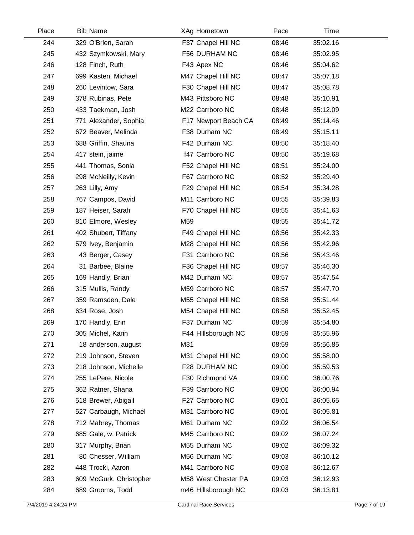| Place | <b>Bib Name</b>         | <b>XAg Hometown</b>  | Pace  | Time     |  |
|-------|-------------------------|----------------------|-------|----------|--|
| 244   | 329 O'Brien, Sarah      | F37 Chapel Hill NC   | 08:46 | 35:02.16 |  |
| 245   | 432 Szymkowski, Mary    | F56 DURHAM NC        | 08:46 | 35:02.95 |  |
| 246   | 128 Finch, Ruth         | F43 Apex NC          | 08:46 | 35:04.62 |  |
| 247   | 699 Kasten, Michael     | M47 Chapel Hill NC   | 08:47 | 35:07.18 |  |
| 248   | 260 Levintow, Sara      | F30 Chapel Hill NC   | 08:47 | 35:08.78 |  |
| 249   | 378 Rubinas, Pete       | M43 Pittsboro NC     | 08:48 | 35:10.91 |  |
| 250   | 433 Taekman, Josh       | M22 Carrboro NC      | 08:48 | 35:12.09 |  |
| 251   | 771 Alexander, Sophia   | F17 Newport Beach CA | 08:49 | 35:14.46 |  |
| 252   | 672 Beaver, Melinda     | F38 Durham NC        | 08:49 | 35:15.11 |  |
| 253   | 688 Griffin, Shauna     | F42 Durham NC        | 08:50 | 35:18.40 |  |
| 254   | 417 stein, jaime        | f47 Carrboro NC      | 08:50 | 35:19.68 |  |
| 255   | 441 Thomas, Sonia       | F52 Chapel Hill NC   | 08:51 | 35:24.00 |  |
| 256   | 298 McNeilly, Kevin     | F67 Carrboro NC      | 08:52 | 35:29.40 |  |
| 257   | 263 Lilly, Amy          | F29 Chapel Hill NC   | 08:54 | 35:34.28 |  |
| 258   | 767 Campos, David       | M11 Carrboro NC      | 08:55 | 35:39.83 |  |
| 259   | 187 Heiser, Sarah       | F70 Chapel Hill NC   | 08:55 | 35:41.63 |  |
| 260   | 810 Elmore, Wesley      | M59                  | 08:55 | 35:41.72 |  |
| 261   | 402 Shubert, Tiffany    | F49 Chapel Hill NC   | 08:56 | 35:42.33 |  |
| 262   | 579 Ivey, Benjamin      | M28 Chapel Hill NC   | 08:56 | 35:42.96 |  |
| 263   | 43 Berger, Casey        | F31 Carrboro NC      | 08:56 | 35:43.46 |  |
| 264   | 31 Barbee, Blaine       | F36 Chapel Hill NC   | 08:57 | 35:46.30 |  |
| 265   | 169 Handly, Brian       | M42 Durham NC        | 08:57 | 35:47.54 |  |
| 266   | 315 Mullis, Randy       | M59 Carrboro NC      | 08:57 | 35:47.70 |  |
| 267   | 359 Ramsden, Dale       | M55 Chapel Hill NC   | 08:58 | 35:51.44 |  |
| 268   | 634 Rose, Josh          | M54 Chapel Hill NC   | 08:58 | 35:52.45 |  |
| 269   | 170 Handly, Erin        | F37 Durham NC        | 08:59 | 35:54.80 |  |
| 270   | 305 Michel, Karin       | F44 Hillsborough NC  | 08:59 | 35:55.96 |  |
| 271   | 18 anderson, august     | M31                  | 08:59 | 35:56.85 |  |
| 272   | 219 Johnson, Steven     | M31 Chapel Hill NC   | 09:00 | 35:58.00 |  |
| 273   | 218 Johnson, Michelle   | F28 DURHAM NC        | 09:00 | 35:59.53 |  |
| 274   | 255 LePere, Nicole      | F30 Richmond VA      | 09:00 | 36:00.76 |  |
| 275   | 362 Ratner, Shana       | F39 Carrboro NC      | 09:00 | 36:00.94 |  |
| 276   | 518 Brewer, Abigail     | F27 Carrboro NC      | 09:01 | 36:05.65 |  |
| 277   | 527 Carbaugh, Michael   | M31 Carrboro NC      | 09:01 | 36:05.81 |  |
| 278   | 712 Mabrey, Thomas      | M61 Durham NC        | 09:02 | 36:06.54 |  |
| 279   | 685 Gale, w. Patrick    | M45 Carrboro NC      | 09:02 | 36:07.24 |  |
| 280   | 317 Murphy, Brian       | M55 Durham NC        | 09:02 | 36:09.32 |  |
| 281   | 80 Chesser, William     | M56 Durham NC        | 09:03 | 36:10.12 |  |
| 282   | 448 Trocki, Aaron       | M41 Carrboro NC      | 09:03 | 36:12.67 |  |
| 283   | 609 McGurk, Christopher | M58 West Chester PA  | 09:03 | 36:12.93 |  |
| 284   | 689 Grooms, Todd        | m46 Hillsborough NC  | 09:03 | 36:13.81 |  |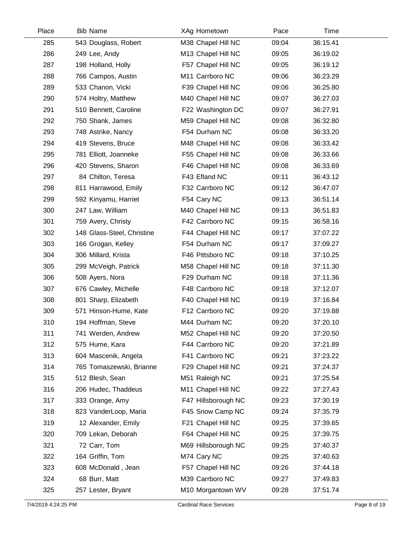| Place | <b>Bib Name</b>            | XAg Hometown        | Pace  | Time     |  |
|-------|----------------------------|---------------------|-------|----------|--|
| 285   | 543 Douglass, Robert       | M38 Chapel Hill NC  | 09:04 | 36:15.41 |  |
| 286   | 249 Lee, Andy              | M13 Chapel Hill NC  | 09:05 | 36:19.02 |  |
| 287   | 198 Holland, Holly         | F57 Chapel Hill NC  | 09:05 | 36:19.12 |  |
| 288   | 766 Campos, Austin         | M11 Carrboro NC     | 09:06 | 36:23.29 |  |
| 289   | 533 Chanon, Vicki          | F39 Chapel Hill NC  | 09:06 | 36:25.80 |  |
| 290   | 574 Holtry, Matthew        | M40 Chapel Hill NC  | 09:07 | 36:27.03 |  |
| 291   | 510 Bennett, Caroline      | F22 Washington DC   | 09:07 | 36:27.91 |  |
| 292   | 750 Shank, James           | M59 Chapel Hill NC  | 09:08 | 36:32.80 |  |
| 293   | 748 Astrike, Nancy         | F54 Durham NC       | 09:08 | 36:33.20 |  |
| 294   | 419 Stevens, Bruce         | M48 Chapel Hill NC  | 09:08 | 36:33.42 |  |
| 295   | 781 Elliott, Joanneke      | F55 Chapel Hill NC  | 09:08 | 36:33.66 |  |
| 296   | 420 Stevens, Sharon        | F46 Chapel Hill NC  | 09:08 | 36:33.69 |  |
| 297   | 84 Chilton, Teresa         | F43 Efland NC       | 09:11 | 36:43.12 |  |
| 298   | 811 Harrawood, Emily       | F32 Carrboro NC     | 09:12 | 36:47.07 |  |
| 299   | 592 Kinyamu, Harriet       | F54 Cary NC         | 09:13 | 36:51.14 |  |
| 300   | 247 Law, William           | M40 Chapel Hill NC  | 09:13 | 36:51.83 |  |
| 301   | 759 Avery, Christy         | F42 Carrboro NC     | 09:15 | 36:58.16 |  |
| 302   | 148 Glass-Steel, Christine | F44 Chapel Hill NC  | 09:17 | 37:07.22 |  |
| 303   | 166 Grogan, Kelley         | F54 Durham NC       | 09:17 | 37:09.27 |  |
| 304   | 306 Millard, Krista        | F46 Pittsboro NC    | 09:18 | 37:10.25 |  |
| 305   | 299 McVeigh, Patrick       | M58 Chapel Hill NC  | 09:18 | 37:11.30 |  |
| 306   | 508 Ayers, Nora            | F29 Durham NC       | 09:18 | 37:11.36 |  |
| 307   | 676 Cawley, Michelle       | F48 Carrboro NC     | 09:18 | 37:12.07 |  |
| 308   | 801 Sharp, Elizabeth       | F40 Chapel Hill NC  | 09:19 | 37:16.84 |  |
| 309   | 571 Hinson-Hume, Kate      | F12 Carrboro NC     | 09:20 | 37:19.88 |  |
| 310   | 194 Hoffman, Steve         | M44 Durham NC       | 09:20 | 37:20.10 |  |
| 311   | 741 Werden, Andrew         | M52 Chapel Hill NC  | 09:20 | 37:20.50 |  |
| 312   | 575 Hume, Kara             | F44 Carrboro NC     | 09:20 | 37:21.89 |  |
| 313   | 604 Mascenik, Angela       | F41 Carrboro NC     | 09:21 | 37:23.22 |  |
| 314   | 765 Tomaszewski, Brianne   | F29 Chapel Hill NC  | 09:21 | 37:24.37 |  |
| 315   | 512 Blesh, Sean            | M51 Raleigh NC      | 09:21 | 37:25.54 |  |
| 316   | 206 Hudec, Thaddeus        | M11 Chapel Hill NC  | 09:22 | 37:27.43 |  |
| 317   | 333 Orange, Amy            | F47 Hillsborough NC | 09:23 | 37:30.19 |  |
| 318   | 823 VanderLoop, Maria      | F45 Snow Camp NC    | 09:24 | 37:35.79 |  |
| 319   | 12 Alexander, Emily        | F21 Chapel Hill NC  | 09:25 | 37:39.65 |  |
| 320   | 709 Lekan, Deborah         | F64 Chapel Hill NC  | 09:25 | 37:39.75 |  |
| 321   | 72 Carr, Tom               | M69 Hillsborough NC | 09:25 | 37:40.37 |  |
| 322   | 164 Griffin, Tom           | M74 Cary NC         | 09:25 | 37:40.63 |  |
| 323   | 608 McDonald, Jean         | F57 Chapel Hill NC  | 09:26 | 37:44.18 |  |
| 324   | 68 Burr, Matt              | M39 Carrboro NC     | 09:27 | 37:49.83 |  |
| 325   | 257 Lester, Bryant         | M10 Morgantown WV   | 09:28 | 37:51.74 |  |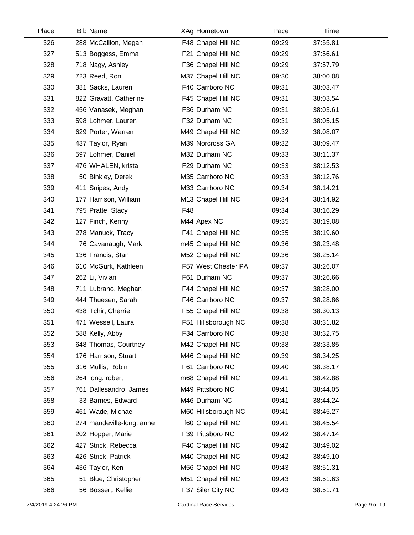| Place | <b>Bib Name</b>           | XAg Hometown        | Pace  | Time     |  |
|-------|---------------------------|---------------------|-------|----------|--|
| 326   | 288 McCallion, Megan      | F48 Chapel Hill NC  | 09:29 | 37:55.81 |  |
| 327   | 513 Boggess, Emma         | F21 Chapel Hill NC  | 09:29 | 37:56.61 |  |
| 328   | 718 Nagy, Ashley          | F36 Chapel Hill NC  | 09:29 | 37:57.79 |  |
| 329   | 723 Reed, Ron             | M37 Chapel Hill NC  | 09:30 | 38:00.08 |  |
| 330   | 381 Sacks, Lauren         | F40 Carrboro NC     | 09:31 | 38:03.47 |  |
| 331   | 822 Gravatt, Catherine    | F45 Chapel Hill NC  | 09:31 | 38:03.54 |  |
| 332   | 456 Vanasek, Meghan       | F36 Durham NC       | 09:31 | 38:03.61 |  |
| 333   | 598 Lohmer, Lauren        | F32 Durham NC       | 09:31 | 38:05.15 |  |
| 334   | 629 Porter, Warren        | M49 Chapel Hill NC  | 09:32 | 38:08.07 |  |
| 335   | 437 Taylor, Ryan          | M39 Norcross GA     | 09:32 | 38:09.47 |  |
| 336   | 597 Lohmer, Daniel        | M32 Durham NC       | 09:33 | 38:11.37 |  |
| 337   | 476 WHALEN, krista        | F29 Durham NC       | 09:33 | 38:12.53 |  |
| 338   | 50 Binkley, Derek         | M35 Carrboro NC     | 09:33 | 38:12.76 |  |
| 339   | 411 Snipes, Andy          | M33 Carrboro NC     | 09:34 | 38:14.21 |  |
| 340   | 177 Harrison, William     | M13 Chapel Hill NC  | 09:34 | 38:14.92 |  |
| 341   | 795 Pratte, Stacy         | F48                 | 09:34 | 38:16.29 |  |
| 342   | 127 Finch, Kenny          | M44 Apex NC         | 09:35 | 38:19.08 |  |
| 343   | 278 Manuck, Tracy         | F41 Chapel Hill NC  | 09:35 | 38:19.60 |  |
| 344   | 76 Cavanaugh, Mark        | m45 Chapel Hill NC  | 09:36 | 38:23.48 |  |
| 345   | 136 Francis, Stan         | M52 Chapel Hill NC  | 09:36 | 38:25.14 |  |
| 346   | 610 McGurk, Kathleen      | F57 West Chester PA | 09:37 | 38:26.07 |  |
| 347   | 262 Li, Vivian            | F61 Durham NC       | 09:37 | 38:26.66 |  |
| 348   | 711 Lubrano, Meghan       | F44 Chapel Hill NC  | 09:37 | 38:28.00 |  |
| 349   | 444 Thuesen, Sarah        | F46 Carrboro NC     | 09:37 | 38:28.86 |  |
| 350   | 438 Tchir, Cherrie        | F55 Chapel Hill NC  | 09:38 | 38:30.13 |  |
| 351   | 471 Wessell, Laura        | F51 Hillsborough NC | 09:38 | 38:31.82 |  |
| 352   | 588 Kelly, Abby           | F34 Carrboro NC     | 09:38 | 38:32.75 |  |
| 353   | 648 Thomas, Courtney      | M42 Chapel Hill NC  | 09:38 | 38:33.85 |  |
| 354   | 176 Harrison, Stuart      | M46 Chapel Hill NC  | 09:39 | 38:34.25 |  |
| 355   | 316 Mullis, Robin         | F61 Carrboro NC     | 09:40 | 38:38.17 |  |
| 356   | 264 long, robert          | m68 Chapel Hill NC  | 09:41 | 38:42.88 |  |
| 357   | 761 Dallesandro, James    | M49 Pittsboro NC    | 09:41 | 38:44.05 |  |
| 358   | 33 Barnes, Edward         | M46 Durham NC       | 09:41 | 38:44.24 |  |
| 359   | 461 Wade, Michael         | M60 Hillsborough NC | 09:41 | 38:45.27 |  |
| 360   | 274 mandeville-long, anne | f60 Chapel Hill NC  | 09:41 | 38:45.54 |  |
| 361   | 202 Hopper, Marie         | F39 Pittsboro NC    | 09:42 | 38:47.14 |  |
| 362   | 427 Strick, Rebecca       | F40 Chapel Hill NC  | 09:42 | 38:49.02 |  |
| 363   | 426 Strick, Patrick       | M40 Chapel Hill NC  | 09:42 | 38:49.10 |  |
| 364   | 436 Taylor, Ken           | M56 Chapel Hill NC  | 09:43 | 38:51.31 |  |
| 365   | 51 Blue, Christopher      | M51 Chapel Hill NC  | 09:43 | 38:51.63 |  |
| 366   | 56 Bossert, Kellie        | F37 Siler City NC   | 09:43 | 38:51.71 |  |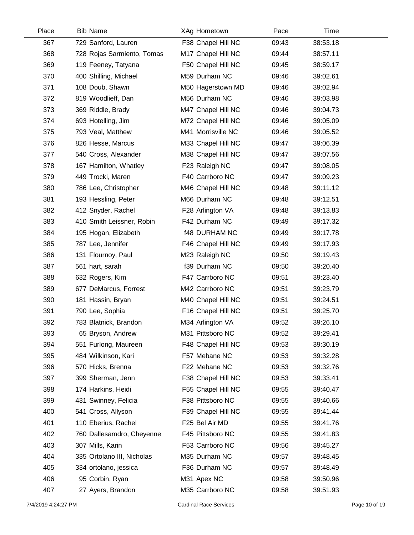| Place | <b>Bib Name</b>            | XAg Hometown         | Pace  | Time     |  |
|-------|----------------------------|----------------------|-------|----------|--|
| 367   | 729 Sanford, Lauren        | F38 Chapel Hill NC   | 09:43 | 38:53.18 |  |
| 368   | 728 Rojas Sarmiento, Tomas | M17 Chapel Hill NC   | 09:44 | 38:57.11 |  |
| 369   | 119 Feeney, Tatyana        | F50 Chapel Hill NC   | 09:45 | 38:59.17 |  |
| 370   | 400 Shilling, Michael      | M59 Durham NC        | 09:46 | 39:02.61 |  |
| 371   | 108 Doub, Shawn            | M50 Hagerstown MD    | 09:46 | 39:02.94 |  |
| 372   | 819 Woodlieff, Dan         | M56 Durham NC        | 09:46 | 39:03.98 |  |
| 373   | 369 Riddle, Brady          | M47 Chapel Hill NC   | 09:46 | 39:04.73 |  |
| 374   | 693 Hotelling, Jim         | M72 Chapel Hill NC   | 09:46 | 39:05.09 |  |
| 375   | 793 Veal, Matthew          | M41 Morrisville NC   | 09:46 | 39:05.52 |  |
| 376   | 826 Hesse, Marcus          | M33 Chapel Hill NC   | 09:47 | 39:06.39 |  |
| 377   | 540 Cross, Alexander       | M38 Chapel Hill NC   | 09:47 | 39:07.56 |  |
| 378   | 167 Hamilton, Whatley      | F23 Raleigh NC       | 09:47 | 39:08.05 |  |
| 379   | 449 Trocki, Maren          | F40 Carrboro NC      | 09:47 | 39:09.23 |  |
| 380   | 786 Lee, Christopher       | M46 Chapel Hill NC   | 09:48 | 39:11.12 |  |
| 381   | 193 Hessling, Peter        | M66 Durham NC        | 09:48 | 39:12.51 |  |
| 382   | 412 Snyder, Rachel         | F28 Arlington VA     | 09:48 | 39:13.83 |  |
| 383   | 410 Smith Leissner, Robin  | F42 Durham NC        | 09:49 | 39:17.32 |  |
| 384   | 195 Hogan, Elizabeth       | <b>f48 DURHAM NC</b> | 09:49 | 39:17.78 |  |
| 385   | 787 Lee, Jennifer          | F46 Chapel Hill NC   | 09:49 | 39:17.93 |  |
| 386   | 131 Flournoy, Paul         | M23 Raleigh NC       | 09:50 | 39:19.43 |  |
| 387   | 561 hart, sarah            | f39 Durham NC        | 09:50 | 39:20.40 |  |
| 388   | 632 Rogers, Kim            | F47 Carrboro NC      | 09:51 | 39:23.40 |  |
| 389   | 677 DeMarcus, Forrest      | M42 Carrboro NC      | 09:51 | 39:23.79 |  |
| 390   | 181 Hassin, Bryan          | M40 Chapel Hill NC   | 09:51 | 39:24.51 |  |
| 391   | 790 Lee, Sophia            | F16 Chapel Hill NC   | 09:51 | 39:25.70 |  |
| 392   | 783 Blatnick, Brandon      | M34 Arlington VA     | 09:52 | 39:26.10 |  |
| 393   | 65 Bryson, Andrew          | M31 Pittsboro NC     | 09:52 | 39:29.41 |  |
| 394   | 551 Furlong, Maureen       | F48 Chapel Hill NC   | 09:53 | 39:30.19 |  |
| 395   | 484 Wilkinson, Kari        | F57 Mebane NC        | 09:53 | 39:32.28 |  |
| 396   | 570 Hicks, Brenna          | F22 Mebane NC        | 09:53 | 39:32.76 |  |
| 397   | 399 Sherman, Jenn          | F38 Chapel Hill NC   | 09:53 | 39:33.41 |  |
| 398   | 174 Harkins, Heidi         | F55 Chapel Hill NC   | 09:55 | 39:40.47 |  |
| 399   | 431 Swinney, Felicia       | F38 Pittsboro NC     | 09:55 | 39:40.66 |  |
| 400   | 541 Cross, Allyson         | F39 Chapel Hill NC   | 09:55 | 39:41.44 |  |
| 401   | 110 Eberius, Rachel        | F25 Bel Air MD       | 09:55 | 39:41.76 |  |
| 402   | 760 Dallesamdro, Cheyenne  | F45 Pittsboro NC     | 09:55 | 39:41.83 |  |
| 403   | 307 Mills, Karin           | F53 Carrboro NC      | 09:56 | 39:45.27 |  |
| 404   | 335 Ortolano III, Nicholas | M35 Durham NC        | 09:57 | 39:48.45 |  |
| 405   | 334 ortolano, jessica      | F36 Durham NC        | 09:57 | 39:48.49 |  |
| 406   | 95 Corbin, Ryan            | M31 Apex NC          | 09:58 | 39:50.96 |  |
| 407   | 27 Ayers, Brandon          | M35 Carrboro NC      | 09:58 | 39:51.93 |  |
|       |                            |                      |       |          |  |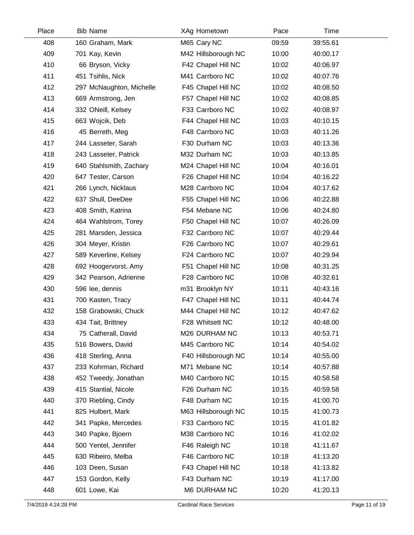| Place | <b>Bib Name</b>          | XAg Hometown        | Pace  | Time     |  |
|-------|--------------------------|---------------------|-------|----------|--|
| 408   | 160 Graham, Mark         | M65 Cary NC         | 09:59 | 39:55.61 |  |
| 409   | 701 Kay, Kevin           | M42 Hillsborough NC | 10:00 | 40:00.17 |  |
| 410   | 66 Bryson, Vicky         | F42 Chapel Hill NC  | 10:02 | 40:06.97 |  |
| 411   | 451 Tsihlis, Nick        | M41 Carrboro NC     | 10:02 | 40:07.76 |  |
| 412   | 297 McNaughton, Michelle | F45 Chapel Hill NC  | 10:02 | 40:08.50 |  |
| 413   | 669 Armstrong, Jen       | F57 Chapel Hill NC  | 10:02 | 40:08.85 |  |
| 414   | 332 ONeill, Kelsey       | F33 Carrboro NC     | 10:02 | 40:08.97 |  |
| 415   | 663 Wojcik, Deb          | F44 Chapel Hill NC  | 10:03 | 40:10.15 |  |
| 416   | 45 Berreth, Meg          | F48 Carrboro NC     | 10:03 | 40:11.26 |  |
| 417   | 244 Lasseter, Sarah      | F30 Durham NC       | 10:03 | 40:13.36 |  |
| 418   | 243 Lasseter, Patrick    | M32 Durham NC       | 10:03 | 40:13.85 |  |
| 419   | 640 Stahlsmith, Zachary  | M24 Chapel Hill NC  | 10:04 | 40:16.01 |  |
| 420   | 647 Tester, Carson       | F26 Chapel Hill NC  | 10:04 | 40:16.22 |  |
| 421   | 266 Lynch, Nicklaus      | M28 Carrboro NC     | 10:04 | 40:17.62 |  |
| 422   | 637 Shull, DeeDee        | F55 Chapel Hill NC  | 10:06 | 40:22.88 |  |
| 423   | 408 Smith, Katrina       | F54 Mebane NC       | 10:06 | 40:24.80 |  |
| 424   | 464 Wahlstrom, Torey     | F50 Chapel Hill NC  | 10:07 | 40:26.09 |  |
| 425   | 281 Marsden, Jessica     | F32 Carrboro NC     | 10:07 | 40:29.44 |  |
| 426   | 304 Meyer, Kristin       | F26 Carrboro NC     | 10:07 | 40:29.61 |  |
| 427   | 589 Keverline, Kelsey    | F24 Carrboro NC     | 10:07 | 40:29.94 |  |
| 428   | 692 Hoogervorst, Amy     | F51 Chapel Hill NC  | 10:08 | 40:31.25 |  |
| 429   | 342 Pearson, Adrienne    | F28 Carrboro NC     | 10:08 | 40:32.61 |  |
| 430   | 596 lee, dennis          | m31 Brooklyn NY     | 10:11 | 40:43.16 |  |
| 431   | 700 Kasten, Tracy        | F47 Chapel Hill NC  | 10:11 | 40:44.74 |  |
| 432   | 158 Grabowski, Chuck     | M44 Chapel Hill NC  | 10:12 | 40:47.62 |  |
| 433   | 434 Tait, Brittney       | F28 Whitsett NC     | 10:12 | 40:48.00 |  |
| 434   | 75 Catherall, David      | M26 DURHAM NC       | 10:13 | 40:53.71 |  |
| 435   | 516 Bowers, David        | M45 Carrboro NC     | 10:14 | 40:54.02 |  |
| 436   | 418 Sterling, Anna       | F40 Hillsborough NC | 10:14 | 40:55.00 |  |
| 437   | 233 Kohrman, Richard     | M71 Mebane NC       | 10:14 | 40:57.88 |  |
| 438   | 452 Tweedy, Jonathan     | M40 Carrboro NC     | 10:15 | 40:58.58 |  |
| 439   | 415 Stantial, Nicole     | F26 Durham NC       | 10:15 | 40:59.58 |  |
| 440   | 370 Riebling, Cindy      | F48 Durham NC       | 10:15 | 41:00.70 |  |
| 441   | 825 Hulbert, Mark        | M63 Hillsborough NC | 10:15 | 41:00.73 |  |
| 442   | 341 Papke, Mercedes      | F33 Carrboro NC     | 10:15 | 41:01.82 |  |
| 443   | 340 Papke, Bjoern        | M38 Carrboro NC     | 10:16 | 41:02.02 |  |
| 444   | 500 Yentel, Jennifer     | F46 Raleigh NC      | 10:18 | 41:11.67 |  |
| 445   | 630 Ribeiro, Melba       | F46 Carrboro NC     | 10:18 | 41:13.20 |  |
| 446   | 103 Deen, Susan          | F43 Chapel Hill NC  | 10:18 | 41:13.82 |  |
| 447   | 153 Gordon, Kelly        | F43 Durham NC       | 10:19 | 41:17.00 |  |
| 448   | 601 Lowe, Kai            | M6 DURHAM NC        | 10:20 | 41:20.13 |  |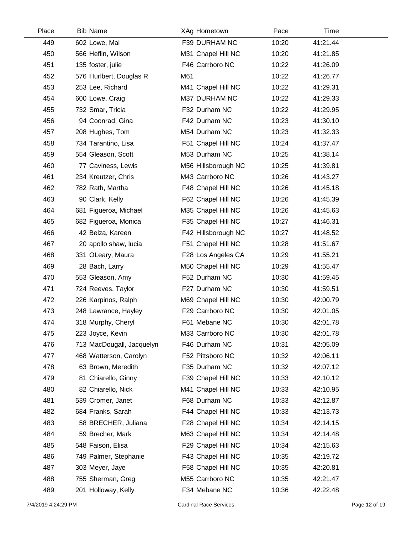| Place | <b>Bib Name</b>           | XAg Hometown        | Pace  | Time     |  |
|-------|---------------------------|---------------------|-------|----------|--|
| 449   | 602 Lowe, Mai             | F39 DURHAM NC       | 10:20 | 41:21.44 |  |
| 450   | 566 Heflin, Wilson        | M31 Chapel Hill NC  | 10:20 | 41:21.85 |  |
| 451   | 135 foster, julie         | F46 Carrboro NC     | 10:22 | 41:26.09 |  |
| 452   | 576 Hurlbert, Douglas R   | M61                 | 10:22 | 41:26.77 |  |
| 453   | 253 Lee, Richard          | M41 Chapel Hill NC  | 10:22 | 41:29.31 |  |
| 454   | 600 Lowe, Craig           | M37 DURHAM NC       | 10:22 | 41:29.33 |  |
| 455   | 732 Smar, Tricia          | F32 Durham NC       | 10:22 | 41:29.95 |  |
| 456   | 94 Coonrad, Gina          | F42 Durham NC       | 10:23 | 41:30.10 |  |
| 457   | 208 Hughes, Tom           | M54 Durham NC       | 10:23 | 41:32.33 |  |
| 458   | 734 Tarantino, Lisa       | F51 Chapel Hill NC  | 10:24 | 41:37.47 |  |
| 459   | 554 Gleason, Scott        | M53 Durham NC       | 10:25 | 41:38.14 |  |
| 460   | 77 Caviness, Lewis        | M56 Hillsborough NC | 10:25 | 41:39.81 |  |
| 461   | 234 Kreutzer, Chris       | M43 Carrboro NC     | 10:26 | 41:43.27 |  |
| 462   | 782 Rath, Martha          | F48 Chapel Hill NC  | 10:26 | 41:45.18 |  |
| 463   | 90 Clark, Kelly           | F62 Chapel Hill NC  | 10:26 | 41:45.39 |  |
| 464   | 681 Figueroa, Michael     | M35 Chapel Hill NC  | 10:26 | 41:45.63 |  |
| 465   | 682 Figueroa, Monica      | F35 Chapel Hill NC  | 10:27 | 41:46.31 |  |
| 466   | 42 Belza, Kareen          | F42 Hillsborough NC | 10:27 | 41:48.52 |  |
| 467   | 20 apollo shaw, lucia     | F51 Chapel Hill NC  | 10:28 | 41:51.67 |  |
| 468   | 331 OLeary, Maura         | F28 Los Angeles CA  | 10:29 | 41:55.21 |  |
| 469   | 28 Bach, Larry            | M50 Chapel Hill NC  | 10:29 | 41:55.47 |  |
| 470   | 553 Gleason, Amy          | F52 Durham NC       | 10:30 | 41:59.45 |  |
| 471   | 724 Reeves, Taylor        | F27 Durham NC       | 10:30 | 41:59.51 |  |
| 472   | 226 Karpinos, Ralph       | M69 Chapel Hill NC  | 10:30 | 42:00.79 |  |
| 473   | 248 Lawrance, Hayley      | F29 Carrboro NC     | 10:30 | 42:01.05 |  |
| 474   | 318 Murphy, Cheryl        | F61 Mebane NC       | 10:30 | 42:01.78 |  |
| 475   | 223 Joyce, Kevin          | M33 Carrboro NC     | 10:30 | 42:01.78 |  |
| 476   | 713 MacDougall, Jacquelyn | F46 Durham NC       | 10:31 | 42:05.09 |  |
| 477   | 468 Watterson, Carolyn    | F52 Pittsboro NC    | 10:32 | 42:06.11 |  |
| 478   | 63 Brown, Meredith        | F35 Durham NC       | 10:32 | 42:07.12 |  |
| 479   | 81 Chiarello, Ginny       | F39 Chapel Hill NC  | 10:33 | 42:10.12 |  |
| 480   | 82 Chiarello, Nick        | M41 Chapel Hill NC  | 10:33 | 42:10.95 |  |
| 481   | 539 Cromer, Janet         | F68 Durham NC       | 10:33 | 42:12.87 |  |
| 482   | 684 Franks, Sarah         | F44 Chapel Hill NC  | 10:33 | 42:13.73 |  |
| 483   | 58 BRECHER, Juliana       | F28 Chapel Hill NC  | 10:34 | 42:14.15 |  |
| 484   | 59 Brecher, Mark          | M63 Chapel Hill NC  | 10:34 | 42:14.48 |  |
| 485   | 548 Faison, Elisa         | F29 Chapel Hill NC  | 10:34 | 42:15.63 |  |
| 486   | 749 Palmer, Stephanie     | F43 Chapel Hill NC  | 10:35 | 42:19.72 |  |
| 487   | 303 Meyer, Jaye           | F58 Chapel Hill NC  | 10:35 | 42:20.81 |  |
| 488   | 755 Sherman, Greg         | M55 Carrboro NC     | 10:35 | 42:21.47 |  |
| 489   | 201 Holloway, Kelly       | F34 Mebane NC       | 10:36 | 42:22.48 |  |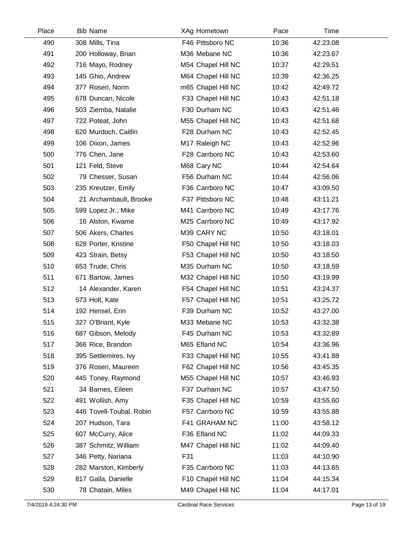| Place | <b>Bib Name</b>          | XAg Hometown       | Pace  | Time     |  |
|-------|--------------------------|--------------------|-------|----------|--|
| 490   | 308 Mills, Tina          | F46 Pittsboro NC   | 10:36 | 42:23.08 |  |
| 491   | 200 Holloway, Brian      | M36 Mebane NC      | 10:36 | 42:23.67 |  |
| 492   | 716 Mayo, Rodney         | M54 Chapel Hill NC | 10:37 | 42:29.51 |  |
| 493   | 145 Ghio, Andrew         | M64 Chapel Hill NC | 10:39 | 42:36.25 |  |
| 494   | 377 Rosen, Norm          | m65 Chapel Hill NC | 10:42 | 42:49.72 |  |
| 495   | 678 Duncan, Nicole       | F33 Chapel Hill NC | 10:43 | 42:51.18 |  |
| 496   | 503 Ziemba, Natalie      | F30 Durham NC      | 10:43 | 42:51.46 |  |
| 497   | 722 Poteat, John         | M55 Chapel Hill NC | 10:43 | 42:51.68 |  |
| 498   | 620 Murdoch, Caitlin     | F28 Durham NC      | 10:43 | 42:52.45 |  |
| 499   | 106 Dixon, James         | M17 Raleigh NC     | 10:43 | 42:52.96 |  |
| 500   | 776 Chen, Jane           | F28 Carrboro NC    | 10:43 | 42:53.60 |  |
| 501   | 121 Feld, Steve          | M68 Cary NC        | 10:44 | 42:54.64 |  |
| 502   | 79 Chesser, Susan        | F56 Durham NC      | 10:44 | 42:56.06 |  |
| 503   | 235 Kreutzer, Emily      | F36 Carrboro NC    | 10:47 | 43:09.50 |  |
| 504   | 21 Archambault, Brooke   | F37 Pittsboro NC   | 10:48 | 43:11.21 |  |
| 505   | 599 Lopez Jr., Mike      | M41 Carrboro NC    | 10:49 | 43:17.76 |  |
| 506   | 16 Alston, Kwame         | M25 Carrboro NC    | 10:49 | 43:17.92 |  |
| 507   | 506 Akers, Charles       | M39 CARY NC        | 10:50 | 43:18.01 |  |
| 508   | 628 Porter, Kristine     | F50 Chapel Hill NC | 10:50 | 43:18.03 |  |
| 509   | 423 Strain, Betsy        | F53 Chapel Hill NC | 10:50 | 43:18.50 |  |
| 510   | 653 Trude, Chris         | M35 Durham NC      | 10:50 | 43:18.59 |  |
| 511   | 671 Bartow, James        | M32 Chapel Hill NC | 10:50 | 43:19.99 |  |
| 512   | 14 Alexander, Karen      | F54 Chapel Hill NC | 10:51 | 43:24.37 |  |
| 513   | 573 Holt, Kate           | F57 Chapel Hill NC | 10:51 | 43:25.72 |  |
| 514   | 192 Hensel, Erin         | F39 Durham NC      | 10:52 | 43:27.00 |  |
| 515   | 327 O'Briant, Kyle       | M33 Mebane NC      | 10:53 | 43:32.38 |  |
| 516   | 687 Gibson, Melody       | F45 Durham NC      | 10:53 | 43:32.89 |  |
| 517   | 366 Rice, Brandon        | M65 Efland NC      | 10:54 | 43:36.96 |  |
| 518   | 395 Settlemires, Ivy     | F33 Chapel Hill NC | 10:55 | 43:41.88 |  |
| 519   | 376 Rosen, Maureen       | F62 Chapel Hill NC | 10:56 | 43:45.35 |  |
| 520   | 445 Toney, Raymond       | M55 Chapel Hill NC | 10:57 | 43:46.93 |  |
| 521   | 34 Barnes, Eileen        | F37 Durham NC      | 10:57 | 43:47.50 |  |
| 522   | 491 Wollish, Amy         | F35 Chapel Hill NC | 10:59 | 43:55.60 |  |
| 523   | 446 Tovell-Toubal, Robin | F57 Carrboro NC    | 10:59 | 43:55.88 |  |
| 524   | 207 Hudson, Tara         | F41 GRAHAM NC      | 11:00 | 43:58.12 |  |
| 525   | 607 McCurry, Alice       | F36 Efland NC      | 11:02 | 44:09.33 |  |
| 526   | 387 Schmitz, William     | M47 Chapel Hill NC | 11:02 | 44:09.40 |  |
| 527   | 346 Petty, Nariana       | F31                | 11:03 | 44:10.90 |  |
| 528   | 282 Marston, Kimberly    | F35 Carrboro NC    | 11:03 | 44:13.65 |  |
| 529   | 817 Galla, Danielle      | F10 Chapel Hill NC | 11:04 | 44:15.34 |  |
| 530   | 78 Chatain, Miles        | M49 Chapel Hill NC | 11:04 | 44:17.01 |  |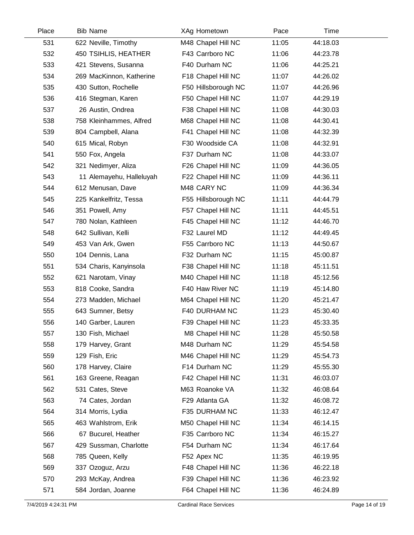| Place | <b>Bib Name</b>          | XAg Hometown        | Pace  | Time     |  |
|-------|--------------------------|---------------------|-------|----------|--|
| 531   | 622 Neville, Timothy     | M48 Chapel Hill NC  | 11:05 | 44:18.03 |  |
| 532   | 450 TSIHLIS, HEATHER     | F43 Carrboro NC     | 11:06 | 44:23.78 |  |
| 533   | 421 Stevens, Susanna     | F40 Durham NC       | 11:06 | 44:25.21 |  |
| 534   | 269 MacKinnon, Katherine | F18 Chapel Hill NC  | 11:07 | 44:26.02 |  |
| 535   | 430 Sutton, Rochelle     | F50 Hillsborough NC | 11:07 | 44:26.96 |  |
| 536   | 416 Stegman, Karen       | F50 Chapel Hill NC  | 11:07 | 44:29.19 |  |
| 537   | 26 Austin, Ondrea        | F38 Chapel Hill NC  | 11:08 | 44:30.03 |  |
| 538   | 758 Kleinhammes, Alfred  | M68 Chapel Hill NC  | 11:08 | 44:30.41 |  |
| 539   | 804 Campbell, Alana      | F41 Chapel Hill NC  | 11:08 | 44:32.39 |  |
| 540   | 615 Mical, Robyn         | F30 Woodside CA     | 11:08 | 44:32.91 |  |
| 541   | 550 Fox, Angela          | F37 Durham NC       | 11:08 | 44:33.07 |  |
| 542   | 321 Nedimyer, Aliza      | F26 Chapel Hill NC  | 11:09 | 44:36.05 |  |
| 543   | 11 Alemayehu, Halleluyah | F22 Chapel Hill NC  | 11:09 | 44:36.11 |  |
| 544   | 612 Menusan, Dave        | M48 CARY NC         | 11:09 | 44:36.34 |  |
| 545   | 225 Kankelfritz, Tessa   | F55 Hillsborough NC | 11:11 | 44:44.79 |  |
| 546   | 351 Powell, Amy          | F57 Chapel Hill NC  | 11:11 | 44:45.51 |  |
| 547   | 780 Nolan, Kathleen      | F45 Chapel Hill NC  | 11:12 | 44:46.70 |  |
| 548   | 642 Sullivan, Kelli      | F32 Laurel MD       | 11:12 | 44:49.45 |  |
| 549   | 453 Van Ark, Gwen        | F55 Carrboro NC     | 11:13 | 44:50.67 |  |
| 550   | 104 Dennis, Lana         | F32 Durham NC       | 11:15 | 45:00.87 |  |
| 551   | 534 Charis, Kanyinsola   | F38 Chapel Hill NC  | 11:18 | 45:11.51 |  |
| 552   | 621 Narotam, Vinay       | M40 Chapel Hill NC  | 11:18 | 45:12.56 |  |
| 553   | 818 Cooke, Sandra        | F40 Haw River NC    | 11:19 | 45:14.80 |  |
| 554   | 273 Madden, Michael      | M64 Chapel Hill NC  | 11:20 | 45:21.47 |  |
| 555   | 643 Sumner, Betsy        | F40 DURHAM NC       | 11:23 | 45:30.40 |  |
| 556   | 140 Garber, Lauren       | F39 Chapel Hill NC  | 11:23 | 45:33.35 |  |
| 557   | 130 Fish, Michael        | M8 Chapel Hill NC   | 11:28 | 45:50.58 |  |
| 558   | 179 Harvey, Grant        | M48 Durham NC       | 11:29 | 45:54.58 |  |
| 559   | 129 Fish, Eric           | M46 Chapel Hill NC  | 11:29 | 45:54.73 |  |
| 560   | 178 Harvey, Claire       | F14 Durham NC       | 11:29 | 45:55.30 |  |
| 561   | 163 Greene, Reagan       | F42 Chapel Hill NC  | 11:31 | 46:03.07 |  |
| 562   | 531 Cates, Steve         | M63 Roanoke VA      | 11:32 | 46:08.64 |  |
| 563   | 74 Cates, Jordan         | F29 Atlanta GA      | 11:32 | 46:08.72 |  |
| 564   | 314 Morris, Lydia        | F35 DURHAM NC       | 11:33 | 46:12.47 |  |
| 565   | 463 Wahlstrom, Erik      | M50 Chapel Hill NC  | 11:34 | 46:14.15 |  |
| 566   | 67 Bucurel, Heather      | F35 Carrboro NC     | 11:34 | 46:15.27 |  |
| 567   | 429 Sussman, Charlotte   | F54 Durham NC       | 11:34 | 46:17.64 |  |
| 568   | 785 Queen, Kelly         | F52 Apex NC         | 11:35 | 46:19.95 |  |
| 569   | 337 Ozoguz, Arzu         | F48 Chapel Hill NC  | 11:36 | 46:22.18 |  |
| 570   | 293 McKay, Andrea        | F39 Chapel Hill NC  | 11:36 | 46:23.92 |  |
| 571   | 584 Jordan, Joanne       | F64 Chapel Hill NC  | 11:36 | 46:24.89 |  |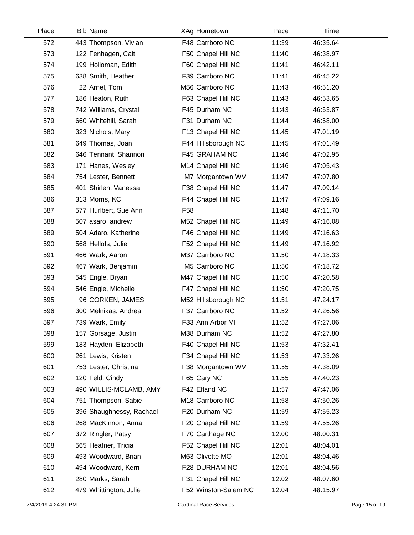| Place | <b>Bib Name</b>          | XAg Hometown         | Pace  | Time     |  |
|-------|--------------------------|----------------------|-------|----------|--|
| 572   | 443 Thompson, Vivian     | F48 Carrboro NC      | 11:39 | 46:35.64 |  |
| 573   | 122 Fenhagen, Cait       | F50 Chapel Hill NC   | 11:40 | 46:38.97 |  |
| 574   | 199 Holloman, Edith      | F60 Chapel Hill NC   | 11:41 | 46:42.11 |  |
| 575   | 638 Smith, Heather       | F39 Carrboro NC      | 11:41 | 46:45.22 |  |
| 576   | 22 Arnel, Tom            | M56 Carrboro NC      | 11:43 | 46:51.20 |  |
| 577   | 186 Heaton, Ruth         | F63 Chapel Hill NC   | 11:43 | 46:53.65 |  |
| 578   | 742 Williams, Crystal    | F45 Durham NC        | 11:43 | 46:53.87 |  |
| 579   | 660 Whitehill, Sarah     | F31 Durham NC        | 11:44 | 46:58.00 |  |
| 580   | 323 Nichols, Mary        | F13 Chapel Hill NC   | 11:45 | 47:01.19 |  |
| 581   | 649 Thomas, Joan         | F44 Hillsborough NC  | 11:45 | 47:01.49 |  |
| 582   | 646 Tennant, Shannon     | F45 GRAHAM NC        | 11:46 | 47:02.95 |  |
| 583   | 171 Hanes, Wesley        | M14 Chapel Hill NC   | 11:46 | 47:05.43 |  |
| 584   | 754 Lester, Bennett      | M7 Morgantown WV     | 11:47 | 47:07.80 |  |
| 585   | 401 Shirlen, Vanessa     | F38 Chapel Hill NC   | 11:47 | 47:09.14 |  |
| 586   | 313 Morris, KC           | F44 Chapel Hill NC   | 11:47 | 47:09.16 |  |
| 587   | 577 Hurlbert, Sue Ann    | F <sub>58</sub>      | 11:48 | 47:11.70 |  |
| 588   | 507 asaro, andrew        | M52 Chapel Hill NC   | 11:49 | 47:16.08 |  |
| 589   | 504 Adaro, Katherine     | F46 Chapel Hill NC   | 11:49 | 47:16.63 |  |
| 590   | 568 Hellofs, Julie       | F52 Chapel Hill NC   | 11:49 | 47:16.92 |  |
| 591   | 466 Wark, Aaron          | M37 Carrboro NC      | 11:50 | 47:18.33 |  |
| 592   | 467 Wark, Benjamin       | M5 Carrboro NC       | 11:50 | 47:18.72 |  |
| 593   | 545 Engle, Bryan         | M47 Chapel Hill NC   | 11:50 | 47:20.58 |  |
| 594   | 546 Engle, Michelle      | F47 Chapel Hill NC   | 11:50 | 47:20.75 |  |
| 595   | 96 CORKEN, JAMES         | M52 Hillsborough NC  | 11:51 | 47:24.17 |  |
| 596   | 300 Melnikas, Andrea     | F37 Carrboro NC      | 11:52 | 47:26.56 |  |
| 597   | 739 Wark, Emily          | F33 Ann Arbor MI     | 11:52 | 47:27.06 |  |
| 598   | 157 Gorsage, Justin      | M38 Durham NC        | 11:52 | 47:27.80 |  |
| 599   | 183 Hayden, Elizabeth    | F40 Chapel Hill NC   | 11:53 | 47:32.41 |  |
| 600   | 261 Lewis, Kristen       | F34 Chapel Hill NC   | 11:53 | 47:33.26 |  |
| 601   | 753 Lester, Christina    | F38 Morgantown WV    | 11:55 | 47:38.09 |  |
| 602   | 120 Feld, Cindy          | F65 Cary NC          | 11:55 | 47:40.23 |  |
| 603   | 490 WILLIS-MCLAMB, AMY   | F42 Efland NC        | 11:57 | 47:47.06 |  |
| 604   | 751 Thompson, Sabie      | M18 Carrboro NC      | 11:58 | 47:50.26 |  |
| 605   | 396 Shaughnessy, Rachael | F20 Durham NC        | 11:59 | 47:55.23 |  |
| 606   | 268 MacKinnon, Anna      | F20 Chapel Hill NC   | 11:59 | 47:55.26 |  |
| 607   | 372 Ringler, Patsy       | F70 Carthage NC      | 12:00 | 48:00.31 |  |
| 608   | 565 Heafner, Tricia      | F52 Chapel Hill NC   | 12:01 | 48:04.01 |  |
| 609   | 493 Woodward, Brian      | M63 Olivette MO      | 12:01 | 48:04.46 |  |
| 610   | 494 Woodward, Kerri      | F28 DURHAM NC        | 12:01 | 48:04.56 |  |
| 611   | 280 Marks, Sarah         | F31 Chapel Hill NC   | 12:02 | 48:07.60 |  |
| 612   | 479 Whittington, Julie   | F52 Winston-Salem NC | 12:04 | 48:15.97 |  |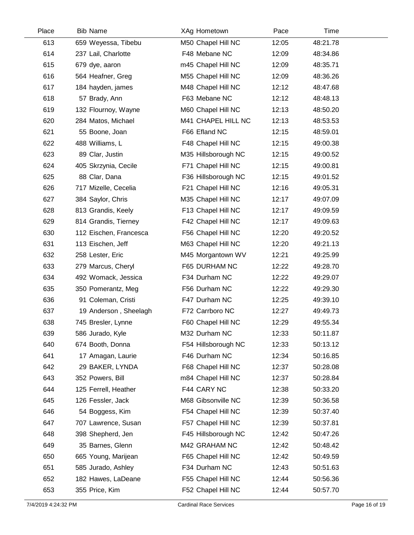| Place | <b>Bib Name</b>        | XAg Hometown        | Pace  | Time     |  |
|-------|------------------------|---------------------|-------|----------|--|
| 613   | 659 Weyessa, Tibebu    | M50 Chapel Hill NC  | 12:05 | 48:21.78 |  |
| 614   | 237 Lail, Charlotte    | F48 Mebane NC       | 12:09 | 48:34.86 |  |
| 615   | 679 dye, aaron         | m45 Chapel Hill NC  | 12:09 | 48:35.71 |  |
| 616   | 564 Heafner, Greg      | M55 Chapel Hill NC  | 12:09 | 48:36.26 |  |
| 617   | 184 hayden, james      | M48 Chapel Hill NC  | 12:12 | 48:47.68 |  |
| 618   | 57 Brady, Ann          | F63 Mebane NC       | 12:12 | 48:48.13 |  |
| 619   | 132 Flournoy, Wayne    | M60 Chapel Hill NC  | 12:13 | 48:50.20 |  |
| 620   | 284 Matos, Michael     | M41 CHAPEL HILL NC  | 12:13 | 48:53.53 |  |
| 621   | 55 Boone, Joan         | F66 Efland NC       | 12:15 | 48:59.01 |  |
| 622   | 488 Williams, L        | F48 Chapel Hill NC  | 12:15 | 49:00.38 |  |
| 623   | 89 Clar, Justin        | M35 Hillsborough NC | 12:15 | 49:00.52 |  |
| 624   | 405 Skrzynia, Cecile   | F71 Chapel Hill NC  | 12:15 | 49:00.81 |  |
| 625   | 88 Clar, Dana          | F36 Hillsborough NC | 12:15 | 49:01.52 |  |
| 626   | 717 Mizelle, Cecelia   | F21 Chapel Hill NC  | 12:16 | 49:05.31 |  |
| 627   | 384 Saylor, Chris      | M35 Chapel Hill NC  | 12:17 | 49:07.09 |  |
| 628   | 813 Grandis, Keely     | F13 Chapel Hill NC  | 12:17 | 49:09.59 |  |
| 629   | 814 Grandis, Tierney   | F42 Chapel Hill NC  | 12:17 | 49:09.63 |  |
| 630   | 112 Eischen, Francesca | F56 Chapel Hill NC  | 12:20 | 49:20.52 |  |
| 631   | 113 Eischen, Jeff      | M63 Chapel Hill NC  | 12:20 | 49:21.13 |  |
| 632   | 258 Lester, Eric       | M45 Morgantown WV   | 12:21 | 49:25.99 |  |
| 633   | 279 Marcus, Cheryl     | F65 DURHAM NC       | 12:22 | 49:28.70 |  |
| 634   | 492 Womack, Jessica    | F34 Durham NC       | 12:22 | 49:29.07 |  |
| 635   | 350 Pomerantz, Meg     | F56 Durham NC       | 12:22 | 49:29.30 |  |
| 636   | 91 Coleman, Cristi     | F47 Durham NC       | 12:25 | 49:39.10 |  |
| 637   | 19 Anderson, Sheelagh  | F72 Carrboro NC     | 12:27 | 49:49.73 |  |
| 638   | 745 Bresler, Lynne     | F60 Chapel Hill NC  | 12:29 | 49:55.34 |  |
| 639   | 586 Jurado, Kyle       | M32 Durham NC       | 12:33 | 50:11.87 |  |
| 640   | 674 Booth, Donna       | F54 Hillsborough NC | 12:33 | 50:13.12 |  |
| 641   | 17 Amagan, Laurie      | F46 Durham NC       | 12:34 | 50:16.85 |  |
| 642   | 29 BAKER, LYNDA        | F68 Chapel Hill NC  | 12:37 | 50:28.08 |  |
| 643   | 352 Powers, Bill       | m84 Chapel Hill NC  | 12:37 | 50:28.84 |  |
| 644   | 125 Ferrell, Heather   | F44 CARY NC         | 12:38 | 50:33.20 |  |
| 645   | 126 Fessler, Jack      | M68 Gibsonville NC  | 12:39 | 50:36.58 |  |
| 646   | 54 Boggess, Kim        | F54 Chapel Hill NC  | 12:39 | 50:37.40 |  |
| 647   | 707 Lawrence, Susan    | F57 Chapel Hill NC  | 12:39 | 50:37.81 |  |
| 648   | 398 Shepherd, Jen      | F45 Hillsborough NC | 12:42 | 50:47.26 |  |
| 649   | 35 Barnes, Glenn       | M42 GRAHAM NC       | 12:42 | 50:48.42 |  |
| 650   | 665 Young, Marijean    | F65 Chapel Hill NC  | 12:42 | 50:49.59 |  |
| 651   | 585 Jurado, Ashley     | F34 Durham NC       | 12:43 | 50:51.63 |  |
| 652   | 182 Hawes, LaDeane     | F55 Chapel Hill NC  | 12:44 | 50:56.36 |  |
| 653   | 355 Price, Kim         | F52 Chapel Hill NC  | 12:44 | 50:57.70 |  |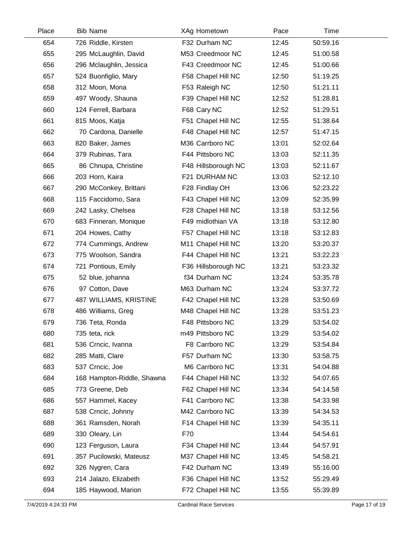| Place | <b>Bib Name</b>            | XAg Hometown        | Pace  | Time     |  |
|-------|----------------------------|---------------------|-------|----------|--|
| 654   | 726 Riddle, Kirsten        | F32 Durham NC       | 12:45 | 50:59.16 |  |
| 655   | 295 McLaughlin, David      | M53 Creedmoor NC    | 12:45 | 51:00.58 |  |
| 656   | 296 Mclaughlin, Jessica    | F43 Creedmoor NC    | 12:45 | 51:00.66 |  |
| 657   | 524 Buonfiglio, Mary       | F58 Chapel Hill NC  | 12:50 | 51:19.25 |  |
| 658   | 312 Moon, Mona             | F53 Raleigh NC      | 12:50 | 51:21.11 |  |
| 659   | 497 Woody, Shauna          | F39 Chapel Hill NC  | 12:52 | 51:28.81 |  |
| 660   | 124 Ferrell, Barbara       | F68 Cary NC         | 12:52 | 51:29.51 |  |
| 661   | 815 Moos, Katja            | F51 Chapel Hill NC  | 12:55 | 51:38.64 |  |
| 662   | 70 Cardona, Danielle       | F48 Chapel Hill NC  | 12:57 | 51:47.15 |  |
| 663   | 820 Baker, James           | M36 Carrboro NC     | 13:01 | 52:02.64 |  |
| 664   | 379 Rubinas, Tara          | F44 Pittsboro NC    | 13:03 | 52:11.35 |  |
| 665   | 86 Chnupa, Christine       | F48 Hillsborough NC | 13:03 | 52:11.67 |  |
| 666   | 203 Horn, Kaira            | F21 DURHAM NC       | 13:03 | 52:12.10 |  |
| 667   | 290 McConkey, Brittani     | F28 Findlay OH      | 13:06 | 52:23.22 |  |
| 668   | 115 Faccidomo, Sara        | F43 Chapel Hill NC  | 13:09 | 52:35.99 |  |
| 669   | 242 Lasky, Chelsea         | F28 Chapel Hill NC  | 13:18 | 53:12.56 |  |
| 670   | 683 Finneran, Monique      | F49 midlothian VA   | 13:18 | 53:12.80 |  |
| 671   | 204 Howes, Cathy           | F57 Chapel Hill NC  | 13:18 | 53:12.83 |  |
| 672   | 774 Cummings, Andrew       | M11 Chapel Hill NC  | 13:20 | 53:20.37 |  |
| 673   | 775 Woolson, Sandra        | F44 Chapel Hill NC  | 13:21 | 53:22.23 |  |
| 674   | 721 Pontious, Emily        | F36 Hillsborough NC | 13:21 | 53:23.32 |  |
| 675   | 52 blue, johanna           | f34 Durham NC       | 13:24 | 53:35.78 |  |
| 676   | 97 Cotton, Dave            | M63 Durham NC       | 13:24 | 53:37.72 |  |
| 677   | 487 WILLIAMS, KRISTINE     | F42 Chapel Hill NC  | 13:28 | 53:50.69 |  |
| 678   | 486 Williams, Greg         | M48 Chapel Hill NC  | 13:28 | 53:51.23 |  |
| 679   | 736 Teta, Ronda            | F48 Pittsboro NC    | 13:29 | 53:54.02 |  |
| 680   | 735 teta, rick             | m49 Pittsboro NC    | 13:29 | 53:54.02 |  |
| 681   | 536 Crncic, Ivanna         | F8 Carrboro NC      | 13:29 | 53:54.84 |  |
| 682   | 285 Matti, Clare           | F57 Durham NC       | 13:30 | 53:58.75 |  |
| 683   | 537 Crncic, Joe            | M6 Carrboro NC      | 13:31 | 54:04.88 |  |
| 684   | 168 Hampton-Riddle, Shawna | F44 Chapel Hill NC  | 13:32 | 54:07.65 |  |
| 685   | 773 Greene, Deb            | F62 Chapel Hill NC  | 13:34 | 54:14.58 |  |
| 686   | 557 Hammel, Kacey          | F41 Carrboro NC     | 13:38 | 54:33.98 |  |
| 687   | 538 Crncic, Johnny         | M42 Carrboro NC     | 13:39 | 54:34.53 |  |
| 688   | 361 Ramsden, Norah         | F14 Chapel Hill NC  | 13:39 | 54:35.11 |  |
| 689   | 330 Oleary, Lin            | F70                 | 13:44 | 54:54.61 |  |
| 690   | 123 Ferguson, Laura        | F34 Chapel Hill NC  | 13:44 | 54:57.91 |  |
| 691   | 357 Pucilowski, Mateusz    | M37 Chapel Hill NC  | 13:45 | 54:58.21 |  |
| 692   | 326 Nygren, Cara           | F42 Durham NC       | 13:49 | 55:16.00 |  |
| 693   | 214 Jalazo, Elizabeth      | F36 Chapel Hill NC  | 13:52 | 55:29.49 |  |
| 694   | 185 Haywood, Marion        | F72 Chapel Hill NC  | 13:55 | 55:39.89 |  |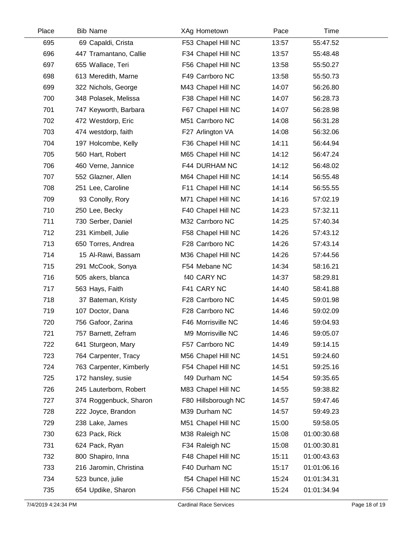| Place | <b>Bib Name</b>         | XAg Hometown        | Pace  | Time        |  |
|-------|-------------------------|---------------------|-------|-------------|--|
| 695   | 69 Capaldi, Crista      | F53 Chapel Hill NC  | 13:57 | 55:47.52    |  |
| 696   | 447 Tramantano, Callie  | F34 Chapel Hill NC  | 13:57 | 55:48.48    |  |
| 697   | 655 Wallace, Teri       | F56 Chapel Hill NC  | 13:58 | 55:50.27    |  |
| 698   | 613 Meredith, Marne     | F49 Carrboro NC     | 13:58 | 55:50.73    |  |
| 699   | 322 Nichols, George     | M43 Chapel Hill NC  | 14:07 | 56:26.80    |  |
| 700   | 348 Polasek, Melissa    | F38 Chapel Hill NC  | 14:07 | 56:28.73    |  |
| 701   | 747 Keyworth, Barbara   | F67 Chapel Hill NC  | 14:07 | 56:28.98    |  |
| 702   | 472 Westdorp, Eric      | M51 Carrboro NC     | 14:08 | 56:31.28    |  |
| 703   | 474 westdorp, faith     | F27 Arlington VA    | 14:08 | 56:32.06    |  |
| 704   | 197 Holcombe, Kelly     | F36 Chapel Hill NC  | 14:11 | 56:44.94    |  |
| 705   | 560 Hart, Robert        | M65 Chapel Hill NC  | 14:12 | 56:47.24    |  |
| 706   | 460 Verne, Jannice      | F44 DURHAM NC       | 14:12 | 56:48.02    |  |
| 707   | 552 Glazner, Allen      | M64 Chapel Hill NC  | 14:14 | 56:55.48    |  |
| 708   | 251 Lee, Caroline       | F11 Chapel Hill NC  | 14:14 | 56:55.55    |  |
| 709   | 93 Conolly, Rory        | M71 Chapel Hill NC  | 14:16 | 57:02.19    |  |
| 710   | 250 Lee, Becky          | F40 Chapel Hill NC  | 14:23 | 57:32.11    |  |
| 711   | 730 Serber, Daniel      | M32 Carrboro NC     | 14:25 | 57:40.34    |  |
| 712   | 231 Kimbell, Julie      | F58 Chapel Hill NC  | 14:26 | 57:43.12    |  |
| 713   | 650 Torres, Andrea      | F28 Carrboro NC     | 14:26 | 57:43.14    |  |
| 714   | 15 Al-Rawi, Bassam      | M36 Chapel Hill NC  | 14:26 | 57:44.56    |  |
| 715   | 291 McCook, Sonya       | F54 Mebane NC       | 14:34 | 58:16.21    |  |
| 716   | 505 akers, blanca       | <b>f40 CARY NC</b>  | 14:37 | 58:29.81    |  |
| 717   | 563 Hays, Faith         | F41 CARY NC         | 14:40 | 58:41.88    |  |
| 718   | 37 Bateman, Kristy      | F28 Carrboro NC     | 14:45 | 59:01.98    |  |
| 719   | 107 Doctor, Dana        | F28 Carrboro NC     | 14:46 | 59:02.09    |  |
| 720   | 756 Gafoor, Zarina      | F46 Morrisville NC  | 14:46 | 59:04.93    |  |
| 721   | 757 Barnett, Zefram     | M9 Morrisville NC   | 14:46 | 59:05.07    |  |
| 722   | 641 Sturgeon, Mary      | F57 Carrboro NC     | 14:49 | 59:14.15    |  |
| 723   | 764 Carpenter, Tracy    | M56 Chapel Hill NC  | 14:51 | 59:24.60    |  |
| 724   | 763 Carpenter, Kimberly | F54 Chapel Hill NC  | 14:51 | 59:25.16    |  |
| 725   | 172 hansley, susie      | f49 Durham NC       | 14:54 | 59:35.65    |  |
| 726   | 245 Lauterborn, Robert  | M83 Chapel Hill NC  | 14:55 | 59:38.82    |  |
| 727   | 374 Roggenbuck, Sharon  | F80 Hillsborough NC | 14:57 | 59:47.46    |  |
| 728   | 222 Joyce, Brandon      | M39 Durham NC       | 14:57 | 59:49.23    |  |
| 729   | 238 Lake, James         | M51 Chapel Hill NC  | 15:00 | 59:58.05    |  |
| 730   | 623 Pack, Rick          | M38 Raleigh NC      | 15:08 | 01:00:30.68 |  |
| 731   | 624 Pack, Ryan          | F34 Raleigh NC      | 15:08 | 01:00:30.81 |  |
| 732   | 800 Shapiro, Inna       | F48 Chapel Hill NC  | 15:11 | 01:00:43.63 |  |
| 733   | 216 Jaromin, Christina  | F40 Durham NC       | 15:17 | 01:01:06.16 |  |
| 734   | 523 bunce, julie        | f54 Chapel Hill NC  | 15:24 | 01:01:34.31 |  |
| 735   | 654 Updike, Sharon      | F56 Chapel Hill NC  | 15:24 | 01:01:34.94 |  |
|       |                         |                     |       |             |  |